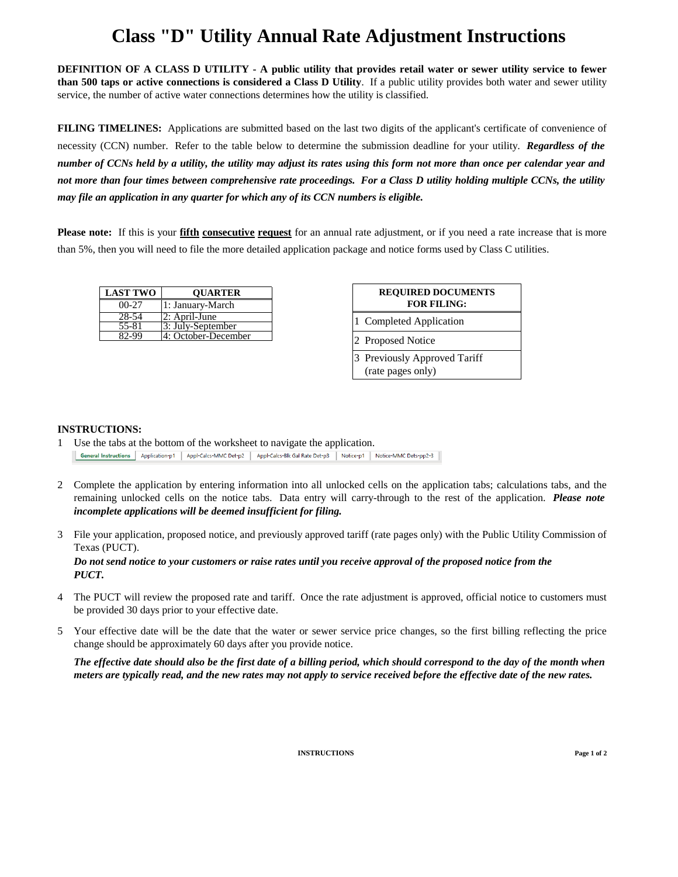# **Class "D" Utility Annual Rate Adjustment Instructions**

**DEFINITION OF A CLASS D UTILITY - A public utility that provides retail water or sewer utility service to fewer than 500 taps or active connections is considered a Class D Utility**. If a public utility provides both water and sewer utility service, the number of active water connections determines how the utility is classified.

**FILING TIMELINES:** Applications are submitted based on the last two digits of the applicant's certificate of convenience of necessity (CCN) number. Refer to the table below to determine the submission deadline for your utility. *Regardless of the number of CCNs held by a utility, the utility may adjust its rates using this form not more than once per calendar year and not more than four times between comprehensive rate proceedings. For a Class D utility holding multiple CCNs, the utility may file an application in any quarter for which any of its CCN numbers is eligible.*

**Please note:** If this is your **fifth consecutive request** for an annual rate adjustment, or if you need a rate increase that is more than 5%, then you will need to file the more detailed application package and notice forms used by Class C utilities.

| <b>LAST TWO</b> | <b>QUARTER</b>      |
|-----------------|---------------------|
| $00-27$         | 1: January-March    |
| 28-54           | 2: April-June       |
| 55-81           | 3: July-September   |
| 82-99           | 4: October-December |

| <b>REQUIRED DOCUMENTS</b><br><b>FOR FILING:</b>   |
|---------------------------------------------------|
| 1 Completed Application                           |
| 2 Proposed Notice                                 |
| 3 Previously Approved Tariff<br>(rate pages only) |

### **INSTRUCTIONS:**

1 Use the tabs at the bottom of the worksheet to navigate the application. General Instructions | Application-p1 | Appl-Calcs-MMC Det-p2 | Appl-Calcs-Blk Gal Rate Det-p3 | Notice-p1 | Notice-MMC Dets-pp2-3 |

- 2 Complete the application by entering information into all unlocked cells on the application tabs; calculations tabs, and the remaining unlocked cells on the notice tabs. Data entry will carry-through to the rest of the application. *Please note incomplete applications will be deemed insufficient for filing.*
- 3 File your application, proposed notice, and previously approved tariff (rate pages only) with the Public Utility Commission of Texas (PUCT).

*PUCT. Do not send notice to your customers or raise rates until you receive approval of the proposed notice from the*

- 4 The PUCT will review the proposed rate and tariff. Once the rate adjustment is approved, official notice to customers must be provided 30 days prior to your effective date.
- 5 Your effective date will be the date that the water or sewer service price changes, so the first billing reflecting the price change should be approximately 60 days after you provide notice.

*The effective date should also be the first date of a billing period, which should correspond to the day of the month when meters are typically read, and the new rates may not apply to service received before the effective date of the new rates.*

**INSTRUCTIONS Page 1 of 2**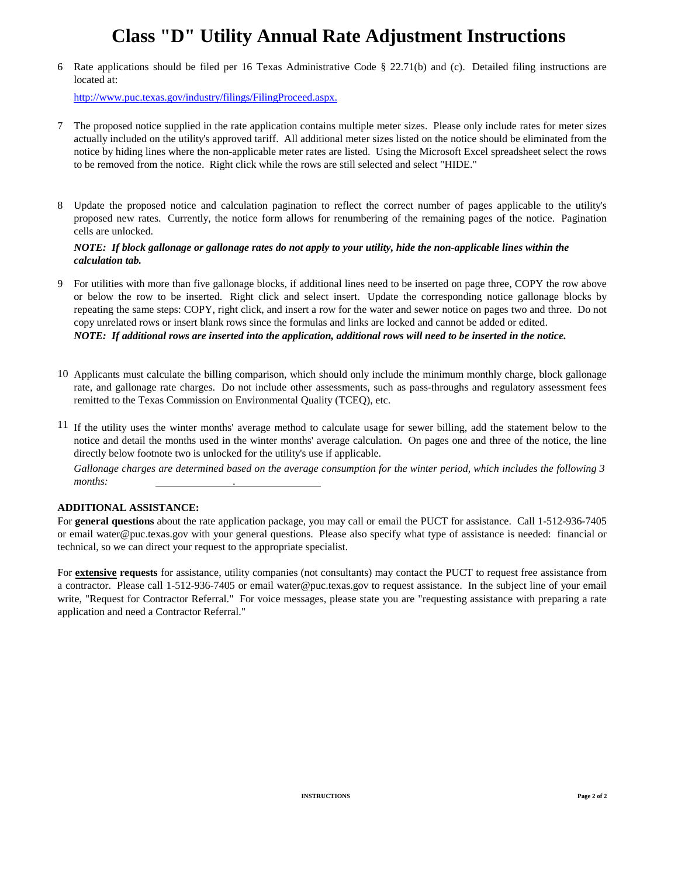# **Class "D" Utility Annual Rate Adjustment Instructions**

6 Rate applications should be filed per 16 Texas Administrative Code § 22.71(b) and (c). Detailed filing instructions are located at:

<http://www.puc.texas.gov/industry/filings/FilingProceed.aspx.>

- 7 The proposed notice supplied in the rate application contains multiple meter sizes. Please only include rates for meter sizes actually included on the utility's approved tariff. All additional meter sizes listed on the notice should be eliminated from the notice by hiding lines where the non-applicable meter rates are listed. Using the Microsoft Excel spreadsheet select the rows to be removed from the notice. Right click while the rows are still selected and select "HIDE."
- 8 Update the proposed notice and calculation pagination to reflect the correct number of pages applicable to the utility's proposed new rates. Currently, the notice form allows for renumbering of the remaining pages of the notice. Pagination cells are unlocked.

### *NOTE: If block gallonage or gallonage rates do not apply to your utility, hide the non-applicable lines within the calculation tab.*

- 9 For utilities with more than five gallonage blocks, if additional lines need to be inserted on page three, COPY the row above or below the row to be inserted. Right click and select insert. Update the corresponding notice gallonage blocks by repeating the same steps: COPY, right click, and insert a row for the water and sewer notice on pages two and three. Do not copy unrelated rows or insert blank rows since the formulas and links are locked and cannot be added or edited. *NOTE: If additional rows are inserted into the application, additional rows will need to be inserted in the notice.*
- 10 Applicants must calculate the billing comparison, which should only include the minimum monthly charge, block gallonage rate, and gallonage rate charges. Do not include other assessments, such as pass-throughs and regulatory assessment fees remitted to the Texas Commission on Environmental Quality (TCEQ), etc.
- <sup>11</sup> If the utility uses the winter months' average method to calculate usage for sewer billing, add the statement below to the notice and detail the months used in the winter months' average calculation. On pages one and three of the notice, the line directly below footnote two is unlocked for the utility's use if applicable.

*Gallonage charges are determined based on the average consumption for the winter period, which includes the following 3 months: .*

#### **ADDITIONAL ASSISTANCE:**

For **general questions** about the rate application package, you may call or email the PUCT for assistance. Call 1-512-936-7405 or email water@puc.texas.gov with your general questions. Please also specify what type of assistance is needed: financial or technical, so we can direct your request to the appropriate specialist.

For **extensive requests** for assistance, utility companies (not consultants) may contact the PUCT to request free assistance from a contractor. Please call 1-512-936-7405 or email water@puc.texas.gov to request assistance. In the subject line of your email write, "Request for Contractor Referral." For voice messages, please state you are "requesting assistance with preparing a rate application and need a Contractor Referral."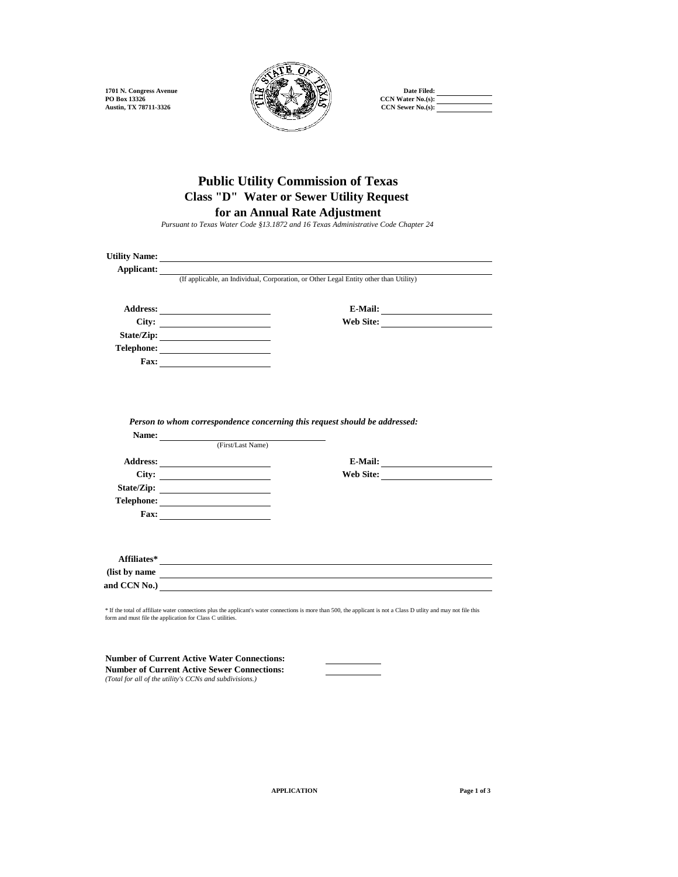

## **Class "D" Water or Sewer Utility Request Public Utility Commission of Texas**

**for an Annual Rate Adjustment**

*Pursuant to Texas Water Code §13.1872 and 16 Texas Administrative Code Chapter 24*

| Utility Name: <u>the contract of the contract of the contract of the contract of the contract of the contract of the contract of the contract of the contract of the contract of the contract of the contract of the contract of</u> |                                                                                       |  |              |
|--------------------------------------------------------------------------------------------------------------------------------------------------------------------------------------------------------------------------------------|---------------------------------------------------------------------------------------|--|--------------|
| Applicant:                                                                                                                                                                                                                           |                                                                                       |  |              |
|                                                                                                                                                                                                                                      | (If applicable, an Individual, Corporation, or Other Legal Entity other than Utility) |  |              |
|                                                                                                                                                                                                                                      |                                                                                       |  |              |
|                                                                                                                                                                                                                                      |                                                                                       |  |              |
|                                                                                                                                                                                                                                      | City:                                                                                 |  | Web Site:    |
|                                                                                                                                                                                                                                      |                                                                                       |  |              |
|                                                                                                                                                                                                                                      |                                                                                       |  |              |
|                                                                                                                                                                                                                                      |                                                                                       |  |              |
|                                                                                                                                                                                                                                      |                                                                                       |  |              |
|                                                                                                                                                                                                                                      |                                                                                       |  |              |
|                                                                                                                                                                                                                                      |                                                                                       |  |              |
|                                                                                                                                                                                                                                      |                                                                                       |  |              |
|                                                                                                                                                                                                                                      |                                                                                       |  |              |
|                                                                                                                                                                                                                                      | Person to whom correspondence concerning this request should be addressed:            |  |              |
|                                                                                                                                                                                                                                      |                                                                                       |  |              |
|                                                                                                                                                                                                                                      | Name: Tirst/Last Name)                                                                |  |              |
|                                                                                                                                                                                                                                      |                                                                                       |  |              |
|                                                                                                                                                                                                                                      |                                                                                       |  |              |
|                                                                                                                                                                                                                                      | City:                                                                                 |  | Web Site:    |
|                                                                                                                                                                                                                                      |                                                                                       |  |              |
|                                                                                                                                                                                                                                      |                                                                                       |  |              |
|                                                                                                                                                                                                                                      | $\text{Fax:}\n\qquad \qquad \qquad \qquad$                                            |  |              |
|                                                                                                                                                                                                                                      |                                                                                       |  |              |
|                                                                                                                                                                                                                                      |                                                                                       |  |              |
|                                                                                                                                                                                                                                      |                                                                                       |  |              |
|                                                                                                                                                                                                                                      |                                                                                       |  | and CCN No.) |

\* If the total of affiliate water connections plus the applicant's water connections is more than 500, the applicant is not a Class D utlity and may not file this form and must file the application for Class C utilities.

**Number of Current Active Water Connections: Number of Current Active Sewer Connections:** *(Total for all of the utility's CCNs and subdivisions.)*

**APPLICATION Page 1 of 3**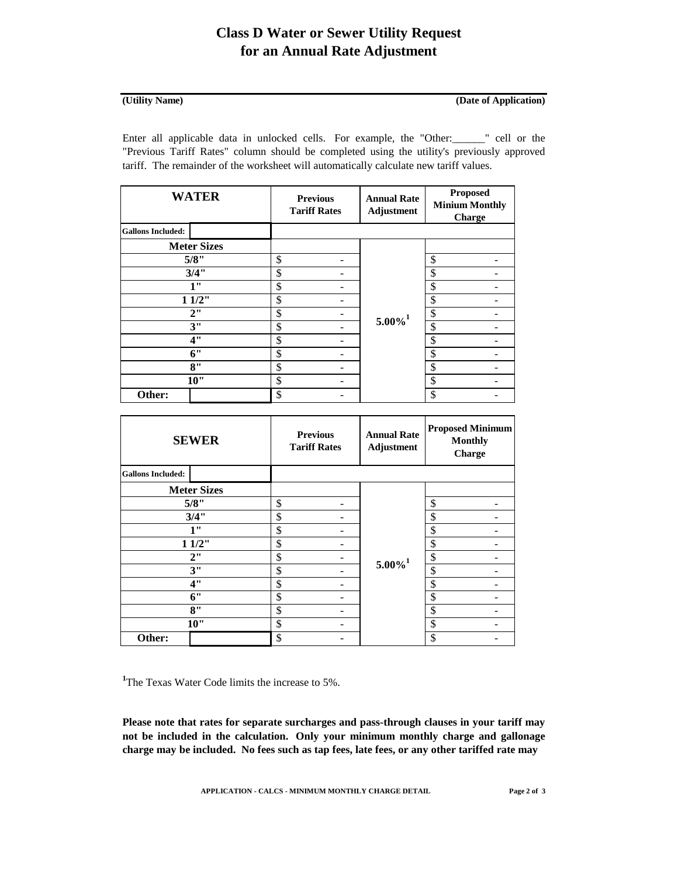## **Class D Water or Sewer Utility Request for an Annual Rate Adjustment**

### **(Utility Name)**

### **(Date of Application)**

Enter all applicable data in unlocked cells. For example, the "Other:\_\_\_\_\_\_" cell or the "Previous Tariff Rates" column should be completed using the utility's previously approved tariff. The remainder of the worksheet will automatically calculate new tariff values.

| <b>WATER</b>             | <b>Previous</b><br><b>Tariff Rates</b> | <b>Annual Rate</b><br><b>Adjustment</b> | <b>Proposed</b><br><b>Minium Monthly</b><br>Charge |
|--------------------------|----------------------------------------|-----------------------------------------|----------------------------------------------------|
| <b>Gallons Included:</b> |                                        |                                         |                                                    |
| <b>Meter Sizes</b>       |                                        |                                         |                                                    |
| 5/8"                     | \$                                     |                                         | \$                                                 |
| 3/4"                     | \$                                     |                                         | \$                                                 |
| 1"                       | \$                                     |                                         | \$                                                 |
| 11/2"                    | \$                                     |                                         | \$                                                 |
| 2"                       | \$                                     | $5.00\%$ <sup>1</sup>                   | \$                                                 |
| 3"                       | \$                                     |                                         | \$                                                 |
| 4"                       | \$                                     |                                         | \$                                                 |
| 6"                       | \$                                     |                                         | \$                                                 |
| 8"                       | \$                                     |                                         | \$                                                 |
| 10"                      | \$                                     |                                         | \$                                                 |
| Other:                   | \$                                     |                                         | \$                                                 |

|                          | <b>SEWER</b>       | <b>Previous</b><br><b>Tariff Rates</b> |    | <b>Annual Rate</b><br><b>Adjustment</b> | <b>Proposed Minimum</b><br><b>Monthly</b><br>Charge |  |
|--------------------------|--------------------|----------------------------------------|----|-----------------------------------------|-----------------------------------------------------|--|
| <b>Gallons Included:</b> |                    |                                        |    |                                         |                                                     |  |
|                          | <b>Meter Sizes</b> |                                        |    |                                         |                                                     |  |
|                          | 5/8"               | \$                                     |    |                                         | \$                                                  |  |
|                          | 3/4"               |                                        | \$ |                                         | \$                                                  |  |
|                          | 1"                 | \$                                     | \$ |                                         |                                                     |  |
|                          | 11/2"              | \$                                     |    |                                         | \$                                                  |  |
|                          | 2"                 | \$                                     |    |                                         | \$                                                  |  |
|                          | 3"                 | \$                                     |    | $5.00\%$ <sup>1</sup>                   | \$                                                  |  |
|                          | 4"                 | \$                                     |    |                                         | \$                                                  |  |
|                          | 6"                 | \$                                     |    |                                         | \$                                                  |  |
|                          | 8"                 | \$                                     |    |                                         | \$                                                  |  |
|                          | 10"                | \$                                     |    |                                         | \$                                                  |  |
| Other:                   |                    | \$                                     |    |                                         | \$                                                  |  |

<sup>1</sup>The Texas Water Code limits the increase to 5%.

**Please note that rates for separate surcharges and pass-through clauses in your tariff may not be included in the calculation. Only your minimum monthly charge and gallonage charge may be included. No fees such as tap fees, late fees, or any other tariffed rate may**

**APPLICATION - CALCS - MINIMUM MONTHLY CHARGE DETAIL Page 2 of 3**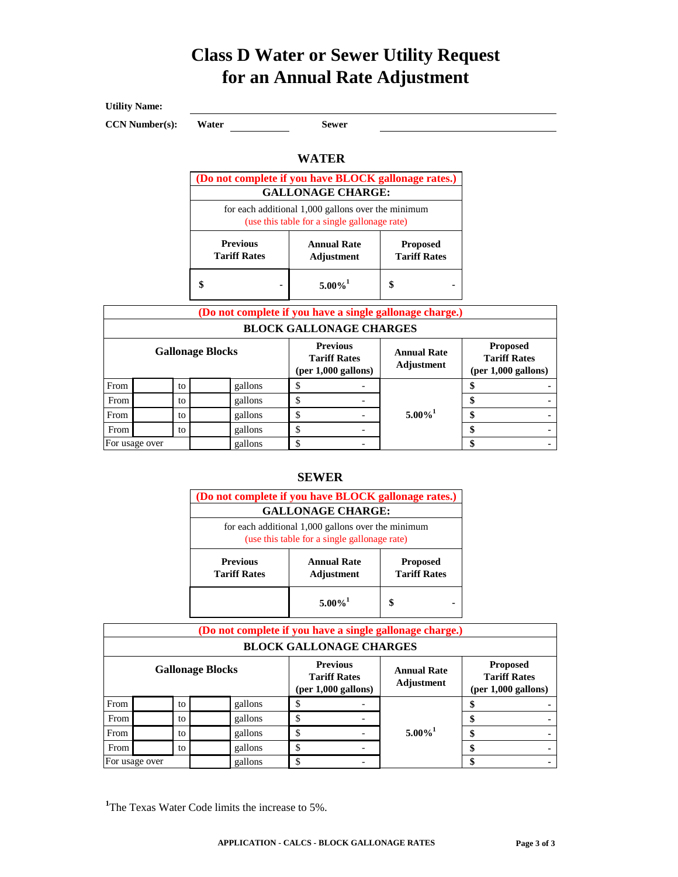# **Class D Water or Sewer Utility Request for an Annual Rate Adjustment**

<u> 1989 - Johann Barn, mars ann an t-Amhain Aonaich an t-Aonaich an t-Aonaich ann an t-Aonaich ann an t-Aonaich</u>

**Utility Name:**

**CCN Number(s):** Water **Sewer** 

### **WATER**

|                                                                                                    | (Do not complete if you have BLOCK gallonage rates.)<br><b>GALLONAGE CHARGE:</b> |                                        |  |  |
|----------------------------------------------------------------------------------------------------|----------------------------------------------------------------------------------|----------------------------------------|--|--|
| for each additional 1,000 gallons over the minimum<br>(use this table for a single gallonage rate) |                                                                                  |                                        |  |  |
| <b>Previous</b><br><b>Tariff Rates</b>                                                             | <b>Annual Rate</b><br>Adjustment                                                 | <b>Proposed</b><br><b>Tariff Rates</b> |  |  |
|                                                                                                    | $5.00\%$ <sup>1</sup>                                                            |                                        |  |  |

|                         |                    |    | (Do not complete if you have a single gallonage charge.)                                            |  |                                |                                                                 |  |
|-------------------------|--------------------|----|-----------------------------------------------------------------------------------------------------|--|--------------------------------|-----------------------------------------------------------------|--|
|                         |                    |    |                                                                                                     |  | <b>BLOCK GALLONAGE CHARGES</b> |                                                                 |  |
| <b>Gallonage Blocks</b> |                    |    | <b>Previous</b><br><b>Annual Rate</b><br><b>Tariff Rates</b><br>Adjustment<br>$(per 1,000$ gallons) |  |                                | <b>Proposed</b><br><b>Tariff Rates</b><br>$(per 1,000$ gallons) |  |
| From                    |                    | to | gallons                                                                                             |  |                                |                                                                 |  |
| From                    |                    | to | gallons                                                                                             |  |                                |                                                                 |  |
| From                    | gallons<br>Φ<br>to |    |                                                                                                     |  | $5.00\%$ <sup>1</sup>          | \$                                                              |  |
| From<br>gallons<br>to   |                    |    |                                                                                                     |  |                                |                                                                 |  |
|                         | For usage over     |    | gallons                                                                                             |  | -                              |                                                                 |  |

### **SEWER**

|                                                                                                    | (Do not complete if you have BLOCK gallonage rates.)<br><b>GALLONAGE CHARGE:</b> |                                        |  |  |
|----------------------------------------------------------------------------------------------------|----------------------------------------------------------------------------------|----------------------------------------|--|--|
| for each additional 1,000 gallons over the minimum<br>(use this table for a single gallonage rate) |                                                                                  |                                        |  |  |
| <b>Previous</b><br><b>Tariff Rates</b>                                                             | <b>Annual Rate</b><br>Adjustment                                                 | <b>Proposed</b><br><b>Tariff Rates</b> |  |  |
|                                                                                                    | $5.00\%$ <sup>1</sup>                                                            |                                        |  |  |

|                         |                |         | (Do not complete if you have a single gallonage charge.) |                                                                 |                                  |                                                                 |  |
|-------------------------|----------------|---------|----------------------------------------------------------|-----------------------------------------------------------------|----------------------------------|-----------------------------------------------------------------|--|
|                         |                |         |                                                          |                                                                 | <b>BLOCK GALLONAGE CHARGES</b>   |                                                                 |  |
| <b>Gallonage Blocks</b> |                |         |                                                          | <b>Previous</b><br><b>Tariff Rates</b><br>$(per 1,000$ gallons) | <b>Annual Rate</b><br>Adjustment | <b>Proposed</b><br><b>Tariff Rates</b><br>$(per 1,000$ gallons) |  |
| From                    |                | to      | gallons                                                  |                                                                 |                                  |                                                                 |  |
| From                    |                | to      | gallons                                                  |                                                                 |                                  |                                                                 |  |
| From<br>to              |                | gallons |                                                          |                                                                 | $5.00\%$ <sup>1</sup>            | \$                                                              |  |
| From                    |                | to      | gallons                                                  | ¢<br>D                                                          |                                  |                                                                 |  |
|                         | For usage over |         | gallons                                                  |                                                                 |                                  |                                                                 |  |

<sup>1</sup>The Texas Water Code limits the increase to 5%.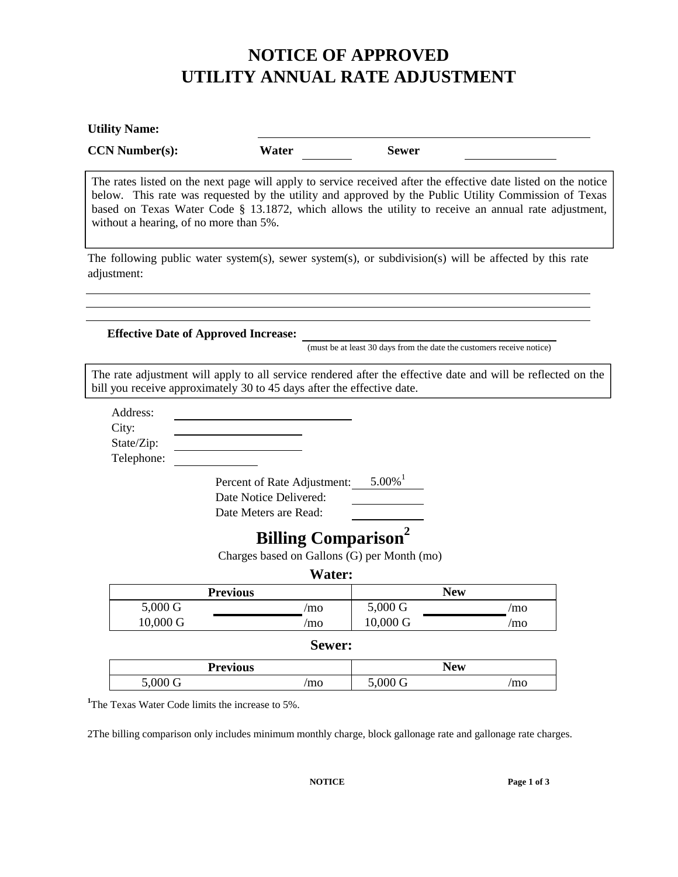# **NOTICE OF APPROVED UTILITY ANNUAL RATE ADJUSTMENT**

| <b>Utility Name:</b>                          |                                                                                                                                                                                                                                                                                                                               |                                                                       |            |  |
|-----------------------------------------------|-------------------------------------------------------------------------------------------------------------------------------------------------------------------------------------------------------------------------------------------------------------------------------------------------------------------------------|-----------------------------------------------------------------------|------------|--|
| <b>CCN Number(s):</b>                         | Water                                                                                                                                                                                                                                                                                                                         | <b>Sewer</b>                                                          |            |  |
| without a hearing, of no more than 5%.        | The rates listed on the next page will apply to service received after the effective date listed on the notice<br>below. This rate was requested by the utility and approved by the Public Utility Commission of Texas<br>based on Texas Water Code § 13.1872, which allows the utility to receive an annual rate adjustment, |                                                                       |            |  |
| adjustment:                                   | The following public water system(s), sewer system(s), or subdivision(s) will be affected by this rate                                                                                                                                                                                                                        |                                                                       |            |  |
|                                               | <b>Effective Date of Approved Increase:</b>                                                                                                                                                                                                                                                                                   | (must be at least 30 days from the date the customers receive notice) |            |  |
|                                               | The rate adjustment will apply to all service rendered after the effective date and will be reflected on the<br>bill you receive approximately 30 to 45 days after the effective date.                                                                                                                                        |                                                                       |            |  |
| Address:<br>City:<br>State/Zip:<br>Telephone: |                                                                                                                                                                                                                                                                                                                               |                                                                       |            |  |
|                                               | Percent of Rate Adjustment:<br>Date Notice Delivered:<br>Date Meters are Read:                                                                                                                                                                                                                                                | $5.00\%$ <sup>1</sup>                                                 |            |  |
|                                               | <b>Billing Comparison<sup>2</sup></b>                                                                                                                                                                                                                                                                                         |                                                                       |            |  |
|                                               | Charges based on Gallons (G) per Month (mo)                                                                                                                                                                                                                                                                                   |                                                                       |            |  |
|                                               | Water:                                                                                                                                                                                                                                                                                                                        |                                                                       |            |  |
|                                               | <b>Previous</b>                                                                                                                                                                                                                                                                                                               |                                                                       | <b>New</b> |  |
| $5.000 \text{ G}$                             | /mo                                                                                                                                                                                                                                                                                                                           | $5.000 \text{ G}$                                                     | /mo        |  |
|                                               | /mo                                                                                                                                                                                                                                                                                                                           | 10,000 G                                                              | /mo        |  |
| 10,000 G                                      |                                                                                                                                                                                                                                                                                                                               |                                                                       |            |  |
|                                               | Sewer:                                                                                                                                                                                                                                                                                                                        |                                                                       |            |  |
|                                               | <b>Previous</b>                                                                                                                                                                                                                                                                                                               |                                                                       | <b>New</b> |  |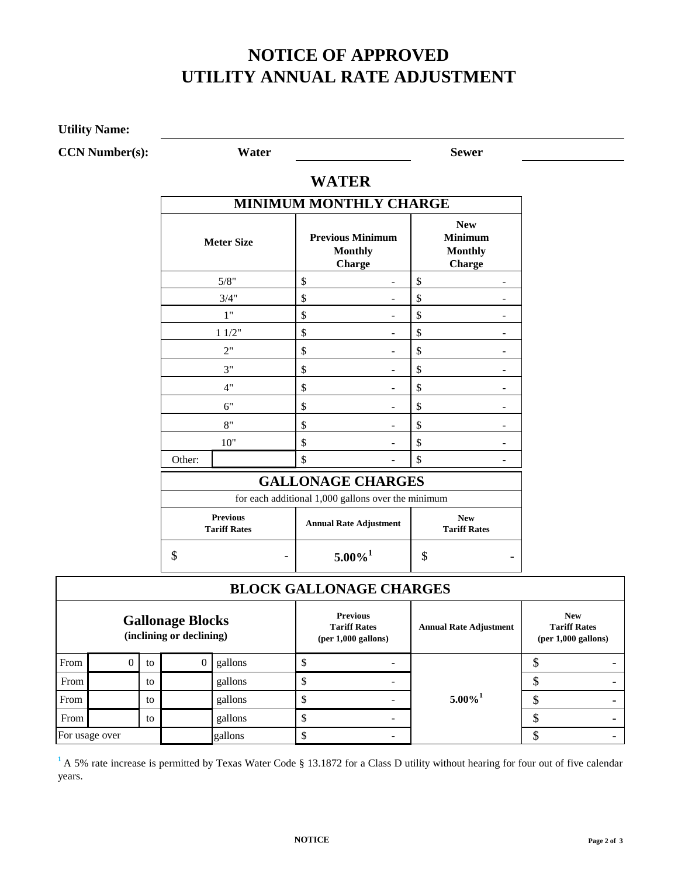# **NOTICE OF APPROVED UTILITY ANNUAL RATE ADJUSTMENT**

**Utility Name:**

**CCN Number(s): Water Sewer**

### **WATER**

|        | <b>Meter Size</b>                      | <b>MINIMUM MONTHLY CHARGE</b><br><b>Previous Minimum</b><br><b>Monthly</b><br><b>Charge</b> |                                                                    | <b>New</b><br><b>Minimum</b><br><b>Monthly</b><br><b>Charge</b> |   |  |
|--------|----------------------------------------|---------------------------------------------------------------------------------------------|--------------------------------------------------------------------|-----------------------------------------------------------------|---|--|
|        | 5/8"                                   | \$                                                                                          |                                                                    | \$                                                              |   |  |
|        | 3/4"                                   | \$                                                                                          |                                                                    | \$                                                              |   |  |
|        | 1"                                     | \$                                                                                          |                                                                    | \$                                                              | - |  |
|        | 11/2"                                  | \$                                                                                          |                                                                    | \$                                                              |   |  |
|        | 2"                                     | \$                                                                                          |                                                                    | \$                                                              |   |  |
|        | 3"                                     | \$                                                                                          |                                                                    | \$                                                              |   |  |
|        | 4"                                     | \$                                                                                          |                                                                    | \$                                                              |   |  |
|        | 6"                                     | \$                                                                                          |                                                                    | \$                                                              |   |  |
|        | 8"                                     | \$                                                                                          |                                                                    | \$                                                              | ۳ |  |
|        | 10"                                    | \$                                                                                          |                                                                    | \$                                                              |   |  |
| Other: |                                        | \$                                                                                          |                                                                    | \$                                                              |   |  |
|        |                                        | <b>GALLONAGE CHARGES</b>                                                                    |                                                                    |                                                                 |   |  |
|        |                                        | for each additional 1,000 gallons over the minimum                                          |                                                                    |                                                                 |   |  |
|        | <b>Previous</b><br><b>Tariff Rates</b> |                                                                                             | <b>New</b><br><b>Annual Rate Adjustment</b><br><b>Tariff Rates</b> |                                                                 |   |  |
| \$     |                                        | $5.00\%$ <sup>1</sup>                                                                       |                                                                    | \$                                                              |   |  |

## **BLOCK GALLONAGE CHARGES**

| <b>Gallonage Blocks</b><br>(inclining or declining) |                |    | <b>Previous</b><br><b>Tariff Rates</b><br>$(per 1,000$ gallons) | <b>Annual Rate Adjustment</b> | <b>New</b><br><b>Tariff Rates</b><br>$(per 1,000$ gallons) |   |
|-----------------------------------------------------|----------------|----|-----------------------------------------------------------------|-------------------------------|------------------------------------------------------------|---|
| From                                                |                | to | gallons                                                         |                               |                                                            |   |
| From                                                |                | to | gallons                                                         |                               |                                                            |   |
| From                                                |                | to | gallons                                                         |                               | $5.00\%$ <sup>1</sup>                                      | Φ |
| From                                                |                | to | gallons                                                         |                               |                                                            |   |
|                                                     | For usage over |    | gallons                                                         |                               |                                                            |   |

<sup>1</sup> A 5% rate increase is permitted by Texas Water Code § 13.1872 for a Class D utility without hearing for four out of five calendar years.